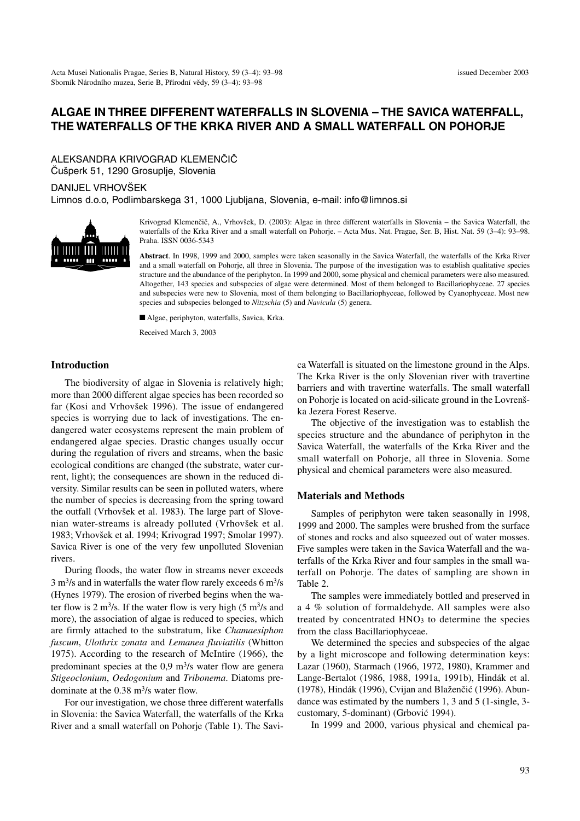# **ALGAE IN THREE DIFFERENT WATERFALLS IN SLOVENIA – THE SAVICA WATERFALL, THE WATERFALLS OF THE KRKA RIVER AND A SMALL WATERFALL ON POHORJE**

ALEKSANDRA KRIVOGRAD KLEMENČIČ Čušperk 51, 1290 Grosuplje, Slovenia

## DANIJEL VRHOVŠEK

Limnos d.o.o, Podlimbarskega 31, 1000 Ljubljana, Slovenia, e-mail: info@limnos.si



Krivograd Klemenčič, A., Vrhovšek, D. (2003): Algae in three different waterfalls in Slovenia – the Savica Waterfall, the waterfalls of the Krka River and a small waterfall on Pohorje. – Acta Mus. Nat. Pragae, Ser. B, Hist. Nat. 59 (3–4): 93–98. Praha. ISSN 0036-5343

**Abstract**. In 1998, 1999 and 2000, samples were taken seasonally in the Savica Waterfall, the waterfalls of the Krka River and a small waterfall on Pohorje, all three in Slovenia. The purpose of the investigation was to establish qualitative species structure and the abundance of the periphyton. In 1999 and 2000, some physical and chemical parameters were also measured. Altogether, 143 species and subspecies of algae were determined. Most of them belonged to Bacillariophyceae. 27 species and subspecies were new to Slovenia, most of them belonging to Bacillariophyceae, followed by Cyanophyceae. Most new species and subspecies belonged to *Nitzschia* (5) and *Navicula* (5) genera.

■ Algae, periphyton, waterfalls, Savica, Krka.

Received March 3, 2003

### **Introduction**

The biodiversity of algae in Slovenia is relatively high; more than 2000 different algae species has been recorded so far (Kosi and Vrhovšek 1996). The issue of endangered species is worrying due to lack of investigations. The endangered water ecosystems represent the main problem of endangered algae species. Drastic changes usually occur during the regulation of rivers and streams, when the basic ecological conditions are changed (the substrate, water current, light); the consequences are shown in the reduced diversity. Similar results can be seen in polluted waters, where the number of species is decreasing from the spring toward the outfall (Vrhovšek et al. 1983). The large part of Slovenian water-streams is already polluted (Vrhovšek et al. 1983; Vrhovšek et al. 1994; Krivograd 1997; Smolar 1997). Savica River is one of the very few unpolluted Slovenian rivers.

During floods, the water flow in streams never exceeds  $3 \text{ m}^3$ /s and in waterfalls the water flow rarely exceeds 6 m<sup>3</sup>/s (Hynes 1979). The erosion of riverbed begins when the water flow is 2 m<sup>3</sup>/s. If the water flow is very high  $(5 \text{ m}^3/\text{s} \text{ and}$ more), the association of algae is reduced to species, which are firmly attached to the substratum, like *Chamaesiphon fuscum*, *Ulothrix zonata* and *Lemanea fluviatilis* (Whitton 1975). According to the research of McIntire (1966), the predominant species at the  $0.9 \text{ m}^3/\text{s}$  water flow are genera *Stigeoclonium*, *Oedogonium* and *Tribonema*. Diatoms predominate at the 0.38 m3/s water flow.

For our investigation, we chose three different waterfalls in Slovenia: the Savica Waterfall, the waterfalls of the Krka River and a small waterfall on Pohorje (Table 1). The Savica Waterfall is situated on the limestone ground in the Alps. The Krka River is the only Slovenian river with travertine barriers and with travertine waterfalls. The small waterfall on Pohorje is located on acid-silicate ground in the Lovrenška Jezera Forest Reserve.

The objective of the investigation was to establish the species structure and the abundance of periphyton in the Savica Waterfall, the waterfalls of the Krka River and the small waterfall on Pohorje, all three in Slovenia. Some physical and chemical parameters were also measured.

#### **Materials and Methods**

Samples of periphyton were taken seasonally in 1998, 1999 and 2000. The samples were brushed from the surface of stones and rocks and also squeezed out of water mosses. Five samples were taken in the Savica Waterfall and the waterfalls of the Krka River and four samples in the small waterfall on Pohorje. The dates of sampling are shown in Table 2.

The samples were immediately bottled and preserved in a 4 % solution of formaldehyde. All samples were also treated by concentrated HNO<sub>3</sub> to determine the species from the class Bacillariophyceae.

We determined the species and subspecies of the algae by a light microscope and following determination keys: Lazar (1960), Starmach (1966, 1972, 1980), Krammer and Lange-Bertalot (1986, 1988, 1991a, 1991b), Hindák et al. (1978), Hindák (1996), Cvijan and Blaženčić (1996). Abundance was estimated by the numbers 1, 3 and 5 (1-single, 3 customary, 5-dominant) (Grbović 1994).

In 1999 and 2000, various physical and chemical pa-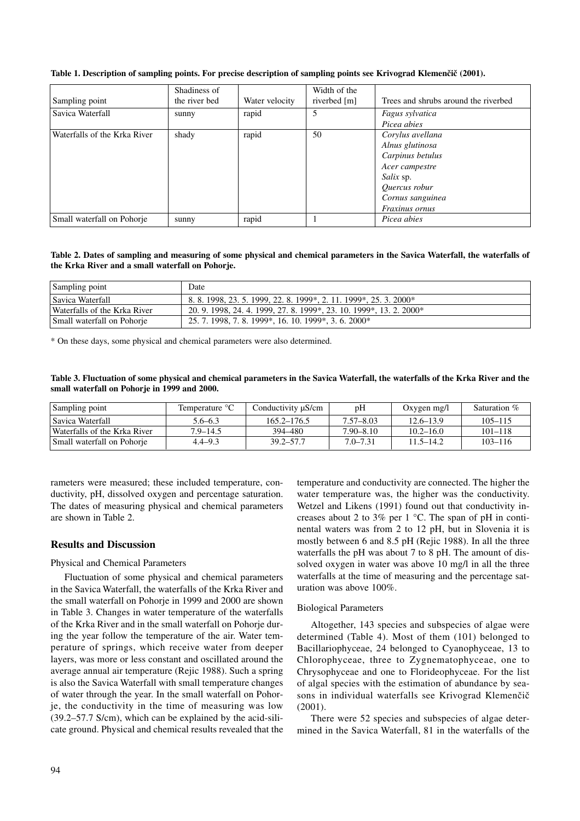|                              | Shadiness of  |                | Width of the |                                      |
|------------------------------|---------------|----------------|--------------|--------------------------------------|
| Sampling point               | the river bed | Water velocity | riverbed [m] | Trees and shrubs around the riverbed |
| Savica Waterfall             | sunny         | rapid          |              | Fagus sylvatica                      |
|                              |               |                |              | Picea abies                          |
| Waterfalls of the Krka River | shady         | rapid          | 50           | Corylus avellana                     |
|                              |               |                |              | Alnus glutinosa                      |
|                              |               |                |              | Carpinus betulus                     |
|                              |               |                |              | Acer campestre                       |
|                              |               |                |              | <i>Salix</i> sp.                     |
|                              |               |                |              | <i>Ouercus robur</i>                 |
|                              |               |                |              | Cornus sanguinea                     |
|                              |               |                |              | Fraxinus ornus                       |
| Small waterfall on Pohorie   | sunny         | rapid          |              | Picea abies                          |

#### **Table 1. Description of sampling points. For precise description of sampling points see Krivograd Klemenčič (2001).**

**Table 2. Dates of sampling and measuring of some physical and chemical parameters in the Savica Waterfall, the waterfalls of the Krka River and a small waterfall on Pohorje.**

| Sampling point               | Date                                                                |
|------------------------------|---------------------------------------------------------------------|
| Savica Waterfall             | 8. 8. 1998, 23. 5. 1999, 22. 8. 1999*, 2. 11. 1999*, 25. 3. 2000*   |
| Waterfalls of the Krka River | 20. 9. 1998, 24. 4. 1999, 27. 8. 1999*, 23. 10. 1999*, 13. 2. 2000* |
| Small waterfall on Pohorie   | 25. 7. 1998, 7. 8. 1999*, 16. 10. 1999*, 3. 6. 2000*                |

\* On these days, some physical and chemical parameters were also determined.

| Table 3. Fluctuation of some physical and chemical parameters in the Savica Waterfall, the waterfalls of the Krka River and the |  |  |
|---------------------------------------------------------------------------------------------------------------------------------|--|--|
| small waterfall on Pohorje in 1999 and 2000.                                                                                    |  |  |

| Sampling point               | Temperature °C | Conductivity $\mu$ S/cm | pH            | Oxygen $mg/l$ | Saturation % |  |  |  |
|------------------------------|----------------|-------------------------|---------------|---------------|--------------|--|--|--|
| l Savica Waterfall           | $5.6 - 6.3$    | $165.2 - 176.5$         | 7.57–8.03     | $12.6 - 13.9$ | $105 - 115$  |  |  |  |
| Waterfalls of the Krka River | $7.9 - 14.5$   | 394–480                 | $7.90 - 8.10$ | $10.2 - 16.0$ | $101 - 118$  |  |  |  |
| Small waterfall on Pohorie   | $4.4 - 9.3$    | $39.2 - 57.7$           | $7.0 - 7.31$  | $11.5 - 14.2$ | $103 - 116$  |  |  |  |

rameters were measured; these included temperature, conductivity, pH, dissolved oxygen and percentage saturation. The dates of measuring physical and chemical parameters are shown in Table 2.

#### **Results and Discussion**

#### Physical and Chemical Parameters

Fluctuation of some physical and chemical parameters in the Savica Waterfall, the waterfalls of the Krka River and the small waterfall on Pohorje in 1999 and 2000 are shown in Table 3. Changes in water temperature of the waterfalls of the Krka River and in the small waterfall on Pohorje during the year follow the temperature of the air. Water temperature of springs, which receive water from deeper layers, was more or less constant and oscillated around the average annual air temperature (Rejic 1988). Such a spring is also the Savica Waterfall with small temperature changes of water through the year. In the small waterfall on Pohorje, the conductivity in the time of measuring was low (39.2–57.7 S/cm), which can be explained by the acid-silicate ground. Physical and chemical results revealed that the temperature and conductivity are connected. The higher the water temperature was, the higher was the conductivity. Wetzel and Likens (1991) found out that conductivity increases about 2 to 3% per 1 °C. The span of pH in continental waters was from 2 to 12 pH, but in Slovenia it is mostly between 6 and 8.5 pH (Rejic 1988). In all the three waterfalls the pH was about 7 to 8 pH. The amount of dissolved oxygen in water was above 10 mg/l in all the three waterfalls at the time of measuring and the percentage saturation was above 100%.

#### Biological Parameters

Altogether, 143 species and subspecies of algae were determined (Table 4). Most of them (101) belonged to Bacillariophyceae, 24 belonged to Cyanophyceae, 13 to Chlorophyceae, three to Zygnematophyceae, one to Chrysophyceae and one to Florideophyceae. For the list of algal species with the estimation of abundance by seasons in individual waterfalls see Krivograd Klemenčič (2001).

There were 52 species and subspecies of algae determined in the Savica Waterfall, 81 in the waterfalls of the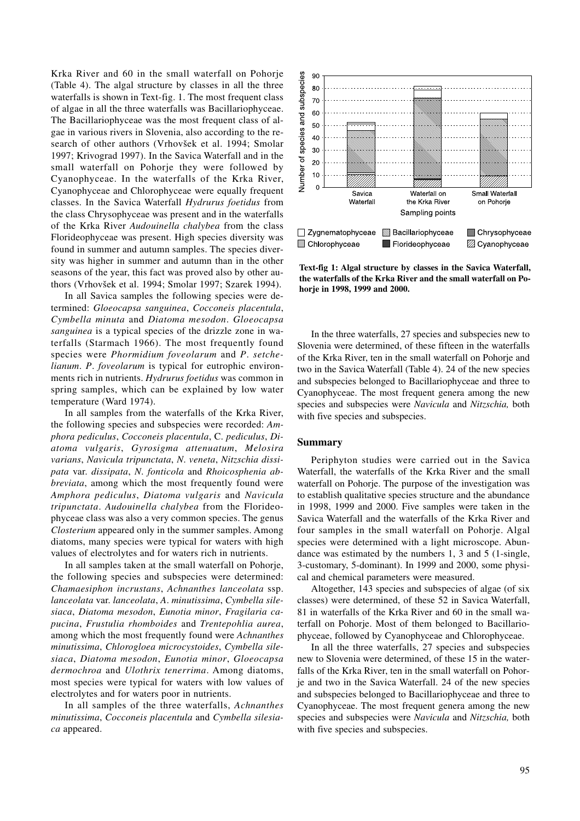Krka River and 60 in the small waterfall on Pohorje (Table 4). The algal structure by classes in all the three waterfalls is shown in Text-fig. 1. The most frequent class of algae in all the three waterfalls was Bacillariophyceae. The Bacillariophyceae was the most frequent class of algae in various rivers in Slovenia, also according to the research of other authors (Vrhovšek et al. 1994; Smolar 1997; Krivograd 1997). In the Savica Waterfall and in the small waterfall on Pohorje they were followed by Cyanophyceae. In the waterfalls of the Krka River, Cyanophyceae and Chlorophyceae were equally frequent classes. In the Savica Waterfall *Hydrurus foetidus* from the class Chrysophyceae was present and in the waterfalls of the Krka River *Audouinella chalybea* from the class Florideophyceae was present. High species diversity was found in summer and autumn samples. The species diversity was higher in summer and autumn than in the other seasons of the year, this fact was proved also by other authors (Vrhovšek et al. 1994; Smolar 1997; Szarek 1994).

In all Savica samples the following species were determined: *Gloeocapsa sanguinea*, *Cocconeis placentula*, *Cymbella minuta* and *Diatoma mesodon*. *Gloeocapsa sanguinea* is a typical species of the drizzle zone in waterfalls (Starmach 1966). The most frequently found species were *Phormidium foveolarum* and *P*. *setchelianum*. *P*. *foveolarum* is typical for eutrophic environments rich in nutrients. *Hydrurus foetidus* was common in spring samples, which can be explained by low water temperature (Ward 1974).

In all samples from the waterfalls of the Krka River, the following species and subspecies were recorded: *Amphora pediculus*, *Cocconeis placentula*, C. *pediculus*, *Diatoma vulgaris*, *Gyrosigma attenuatum*, *Melosira varians*, *Navicula tripunctata*, *N*. *veneta*, *Nitzschia dissipata* var. *dissipata*, *N*. *fonticola* and *Rhoicosphenia abbreviata*, among which the most frequently found were *Amphora pediculus*, *Diatoma vulgaris* and *Navicula tripunctata*. *Audouinella chalybea* from the Florideophyceae class was also a very common species. The genus *Closterium* appeared only in the summer samples. Among diatoms, many species were typical for waters with high values of electrolytes and for waters rich in nutrients.

In all samples taken at the small waterfall on Pohorje, the following species and subspecies were determined: *Chamaesiphon incrustans*, *Achnanthes lanceolata* ssp. *lanceolata* var. *lanceolata*, *A*. *minutissima*, *Cymbella silesiaca*, *Diatoma mesodon*, *Eunotia minor*, *Fragilaria capucina*, *Frustulia rhomboides* and *Trentepohlia aurea*, among which the most frequently found were *Achnanthes minutissima*, *Chlorogloea microcystoides*, *Cymbella silesiaca*, *Diatoma mesodon*, *Eunotia minor*, *Gloeocapsa dermochroa* and *Ulothrix tenerrima*. Among diatoms, most species were typical for waters with low values of electrolytes and for waters poor in nutrients.

In all samples of the three waterfalls, *Achnanthes minutissima*, *Cocconeis placentula* and *Cymbella silesiaca* appeared.



**Text-fig 1: Algal structure by classes in the Savica Waterfall, the waterfalls of the Krka River and the small waterfall on Pohorje in 1998, 1999 and 2000.**

In the three waterfalls, 27 species and subspecies new to Slovenia were determined, of these fifteen in the waterfalls of the Krka River, ten in the small waterfall on Pohorje and two in the Savica Waterfall (Table 4). 24 of the new species and subspecies belonged to Bacillariophyceae and three to Cyanophyceae. The most frequent genera among the new species and subspecies were *Navicula* and *Nitzschia,* both with five species and subspecies.

#### **Summary**

Periphyton studies were carried out in the Savica Waterfall, the waterfalls of the Krka River and the small waterfall on Pohorje. The purpose of the investigation was to establish qualitative species structure and the abundance in 1998, 1999 and 2000. Five samples were taken in the Savica Waterfall and the waterfalls of the Krka River and four samples in the small waterfall on Pohorje. Algal species were determined with a light microscope. Abundance was estimated by the numbers 1, 3 and 5 (1-single, 3-customary, 5-dominant). In 1999 and 2000, some physical and chemical parameters were measured.

Altogether, 143 species and subspecies of algae (of six classes) were determined, of these 52 in Savica Waterfall, 81 in waterfalls of the Krka River and 60 in the small waterfall on Pohorje. Most of them belonged to Bacillariophyceae, followed by Cyanophyceae and Chlorophyceae.

In all the three waterfalls, 27 species and subspecies new to Slovenia were determined, of these 15 in the waterfalls of the Krka River, ten in the small waterfall on Pohorje and two in the Savica Waterfall. 24 of the new species and subspecies belonged to Bacillariophyceae and three to Cyanophyceae. The most frequent genera among the new species and subspecies were *Navicula* and *Nitzschia,* both with five species and subspecies.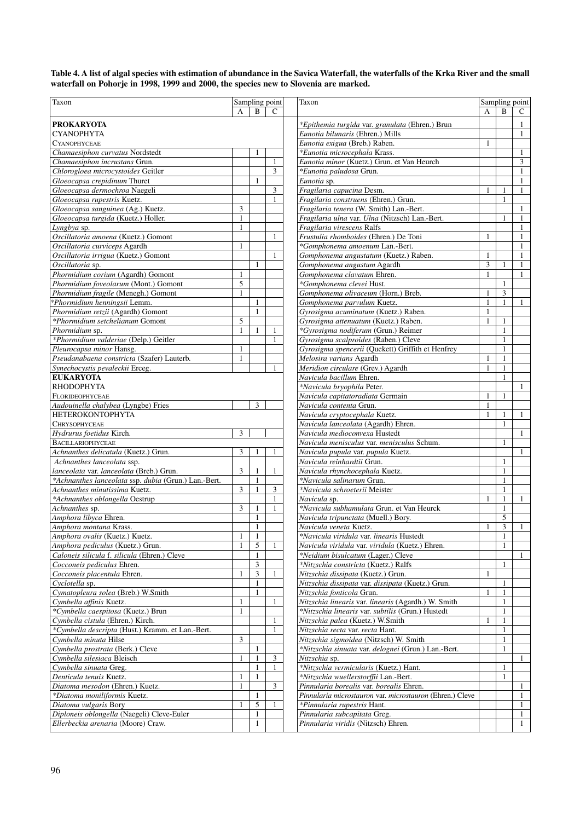**Table 4. A list of algal species with estimation of abundance in the Savica Waterfall, the waterfalls of the Krka River and the small waterfall on Pohorje in 1998, 1999 and 2000, the species new to Slovenia are marked.**

| Taxon                                                                     |                |                | Sampling point | Taxon                                                              |              | Sampling point |              |
|---------------------------------------------------------------------------|----------------|----------------|----------------|--------------------------------------------------------------------|--------------|----------------|--------------|
|                                                                           | A              | B              | $\mathcal{C}$  |                                                                    | A            | B              | C            |
| <b>PROKARYOTA</b>                                                         |                |                |                | *Epithemia turgida var. granulata (Ehren.) Brun                    |              |                | 1            |
| <b>CYANOPHYTA</b>                                                         |                |                |                | Eunotia bilunaris (Ehren.) Mills                                   |              |                | 1            |
| <b>CYANOPHYCEAE</b>                                                       |                |                |                | Eunotia exigua (Breb.) Raben.                                      | 1            |                |              |
| Chamaesiphon curvatus Nordstedt                                           |                | 1              |                | *Eunotia microcephala Krass.                                       |              |                | $\mathbf{1}$ |
| Chamaesiphon incrustans Grun.                                             |                |                | $\mathbf{1}$   | Eunotia minor (Kuetz.) Grun. et Van Heurch                         |              |                | 3            |
| Chlorogloea microcystoides Geitler                                        |                |                | 3              | *Eunotia paludosa Grun.                                            |              |                | 1            |
| Gloeocapsa crepidinum Thuret                                              |                | 1              |                | Eunotia sp.                                                        |              |                | 1            |
| Gloeocapsa dermochroa Naegeli                                             |                |                | 3              | Fragilaria capucina Desm.                                          | 1            | 1              | 1            |
| Gloeocapsa rupestris Kuetz.                                               |                |                | 1              | Fragilaria construens (Ehren.) Grun.                               |              | $\mathbf{1}$   |              |
| Gloeocapsa sanguinea (Ag.) Kuetz.                                         | 3              |                |                | Fragilaria tenera (W. Smith) Lan.-Bert.                            |              |                | 1            |
| Gloeocapsa turgida (Kuetz.) Holler.                                       | 1              |                |                | Fragilaria ulna var. Ulna (Nitzsch) Lan.-Bert.                     |              | 1              | 1            |
| Lyngbya sp.                                                               | $\mathbf{1}$   |                |                | Fragilaria virescens Ralfs                                         |              |                | -1           |
| Oscillatoria amoena (Kuetz.) Gomont                                       |                |                | 1              | Frustulia rhomboides (Ehren.) De Toni                              | 1            |                | 1            |
| Oscillatoria curviceps Agardh                                             | 1              |                |                | *Gomphonema amoenum Lan.-Bert.                                     |              |                | $\mathbf{1}$ |
| Oscillatoria irrigua (Kuetz.) Gomont                                      |                |                | $\mathbf{1}$   | Gomphonema angustatum (Kuetz.) Raben.                              | $\mathbf{1}$ |                | 1            |
| Oscillatoria sp.                                                          |                | $\mathbf{1}$   |                |                                                                    | 3            | 1              | 1            |
|                                                                           |                |                |                | Gomphonema angustum Agardh                                         | $\mathbf{1}$ |                |              |
| Phormidium corium (Agardh) Gomont<br>Phormidium foveolarum (Mont.) Gomont | 1<br>5         |                |                | Gomphonema clavatum Ehren.<br>*Gomphonema clevei Hust.             |              | $\mathbf{1}$   | 1            |
| Phormidium fragile (Menegh.) Gomont                                       | $\mathbf{1}$   |                |                | Gomphonema olivaceum (Horn.) Breb.                                 | $\mathbf{1}$ | 3              |              |
|                                                                           |                | $\mathbf{1}$   |                |                                                                    | $\mathbf{1}$ | $\mathbf{1}$   |              |
| *Phormidium henningsii Lemm.                                              |                | $\mathbf{1}$   |                | Gomphonema parvulum Kuetz.<br>Gyrosigma acuminatum (Kuetz.) Raben. | 1            |                | 1            |
| Phormidium retzii (Agardh) Gomont                                         | 5              |                |                |                                                                    |              | $\mathbf{1}$   |              |
| *Phormidium setchelianum Gomont                                           |                |                |                | Gyrosigma attenuatum (Kuetz.) Raben.                               | $\mathbf{1}$ |                |              |
| Phormidium sp.                                                            | 1              | 1              | 1              | *Gyrosigma nodiferum (Grun.) Reimer                                |              | $\mathbf{1}$   |              |
| *Phormidium valderiae (Delp.) Geitler                                     |                |                | $\mathbf{1}$   | Gyrosigma scalproides (Raben.) Cleve                               |              | $\mathbf{1}$   |              |
| Pleurocapsa minor Hansg.                                                  | $\mathbf{1}$   |                |                | Gyrosigma spencerii (Quekett) Griffith et Henfrey                  |              | $\mathbf{1}$   |              |
| Pseudanabaena constricta (Szafer) Lauterb.                                | 1              |                |                | Melosira varians Agardh                                            | $\mathbf{1}$ | $\mathbf{1}$   |              |
| Synechocystis pevaleckii Erceg.                                           |                |                | 1              | Meridion circulare (Grev.) Agardh                                  | $\mathbf{1}$ | $\mathbf{1}$   |              |
| <b>EUKARYOTA</b>                                                          |                |                |                | Navicula bacillum Ehren.                                           |              | $\mathbf{1}$   |              |
| <b>RHODOPHYTA</b>                                                         |                |                |                | *Navicula bryophila Peter.                                         |              |                | $\mathbf{1}$ |
| FLORIDEOPHYCEAE                                                           |                |                |                | Navicula capitatoradiata Germain                                   | $\mathbf{1}$ | $\mathbf{1}$   |              |
| Audouinella chalybea (Lyngbe) Fries                                       |                | 3              |                | Navicula contenta Grun.                                            | 1            |                |              |
| <b>HETEROKONTOPHYTA</b>                                                   |                |                |                | Navicula cryptocephala Kuetz.                                      | $\mathbf{1}$ | $\mathbf{1}$   | 1            |
| <b>CHRYSOPHYCEAE</b>                                                      |                |                |                | Navicula lanceolata (Agardh) Ehren.                                |              | $\mathbf{1}$   |              |
| Hydrurus foetidus Kirch.                                                  | 3              |                |                | Navicula medioconvexa Hustedt                                      |              |                | 1            |
| <b>BACILLARIOPHYCEAE</b>                                                  |                |                |                | Navicula menisculus var. menisculus Schum.                         |              | $\mathbf{1}$   |              |
| Achnanthes delicatula (Kuetz.) Grun.                                      | 3              | 1              | 1              | Navicula pupula var. pupula Kuetz.                                 |              |                | -1           |
| Achnanthes lanceolata ssp.                                                |                |                |                | Navicula reinhardtii Grun.                                         |              | $\mathbf{1}$   |              |
| lanceolata var. lanceolata (Breb.) Grun.                                  | 3              | 1              | 1              | Navicula rhynchocephala Kuetz.                                     |              | $\mathbf{1}$   |              |
| *Achnanthes lanceolata ssp. dubia (Grun.) Lan.-Bert.                      |                | $\mathbf{1}$   |                | *Navicula salinarum Grun.                                          |              | $\mathbf{1}$   |              |
| Achnanthes minutissima Kuetz.                                             | $\overline{3}$ | $\mathbf{1}$   | 3              | *Navicula schroeterii Meister                                      |              | $\mathbf{1}$   |              |
| *Achnanthes oblongella Oestrup                                            |                |                | 1              | Navicula sp.                                                       | 1            | 1              | 1            |
| Achnanthes sp.                                                            | 3              | $\mathbf{1}$   | $\mathbf{1}$   | *Navicula subhamulata Grun. et Van Heurck                          |              | $\mathbf{1}$   |              |
| Amphora libyca Ehren.                                                     |                | 1              |                | Navicula tripunctata (Muell.) Bory.                                |              | 5              |              |
| Amphora montana Krass.                                                    |                | $\mathbf{1}$   |                | Navicula veneta Kuetz.                                             | $\mathbf{1}$ | 3              | 1            |
| Amphora ovalis (Kuetz.) Kuetz.                                            | 1              | 1              |                | *Navicula viridula var. linearis Hustedt                           |              | 1              |              |
| Amphora pediculus (Kuetz.) Grun.                                          | $\mathbf{1}$   | 5              | 1              | Navicula viridula var. viridula (Kuetz.) Ehren.                    |              | $\mathbf{1}$   |              |
| Caloneis silicula f. silicula (Ehren.) Cleve                              |                | 1              |                | *Neidium bisulcatum (Lager.) Cleve                                 |              |                | 1            |
| Cocconeis pediculus Ehren.                                                |                | 3              |                | *Nitzschia constricta (Kuetz.) Ralfs                               |              | $\mathbf{1}$   |              |
| Cocconeis placentula Ehren.                                               | 1              | $\mathfrak{Z}$ |                | Nitzschia dissipata (Kuetz.) Grun.                                 | $\mathbf{1}$ |                |              |
| Cyclotella sp.                                                            |                | 1              |                | Nitzschia dissipata var. dissipata (Kuetz.) Grun.                  |              | $\mathbf{1}$   |              |
| Cymatopleura solea (Breb.) W.Smith                                        |                | 1              |                | Nitzschia fonticola Grun.                                          | 1            |                |              |
| Cymbella affinis Kuetz.                                                   | $\mathbf{1}$   |                | 1              | Nitzschia linearis var. linearis (Agardh.) W. Smith                |              | $\mathbf{1}$   |              |
| *Cymbella caespitosa (Kuetz.) Brun                                        | 1              |                |                | *Nitzschia linearis var. subtilis (Grun.) Hustedt                  |              |                |              |
| Cymbella cistula (Ehren.) Kirch.                                          |                |                | 1              | Nitzschia palea (Kuetz.) W.Smith                                   | $\mathbf{1}$ |                |              |
| *Cymbella descripta (Hust.) Kramm. et Lan.-Bert.                          |                |                | 1              | Nitzschia recta var. recta Hant.                                   |              | 1              |              |
| Cymbella minuta Hilse                                                     | 3              |                |                | Nitzschia sigmoidea (Nitzsch) W. Smith                             |              | 1              |              |
|                                                                           |                | 1              |                |                                                                    |              | $\mathbf{1}$   |              |
| Cymbella prostrata (Berk.) Cleve                                          |                |                |                | *Nitzschia sinuata var. delognei (Grun.) Lan.-Bert.                |              |                |              |
| Cymbella silesiaca Bleisch                                                | $\mathbf{1}$   | 1              | 3              | Nitzschia sp.                                                      |              |                | 1            |
| Cymbella sinuata Greg.                                                    |                | 1              | $\mathbf{1}$   | *Nitzschia vermicularis (Kuetz.) Hant.                             |              | 1              |              |
| Denticula tenuis Kuetz.                                                   |                | $\mathbf{1}$   |                | *Nitzschia wuellerstorffii Lan.-Bert.                              |              | $\mathbf{1}$   |              |
| Diatoma mesodon (Ehren.) Kuetz.                                           | 1              |                | 3              | Pinnularia borealis var. borealis Ehren.                           |              |                | 1            |
| *Diatoma moniliformis Kuetz.                                              |                | 1              |                | Pinnularia microstauron var. microstauron (Ehren.) Cleve           |              |                | 1            |
| Diatoma vulgaris Bory                                                     |                | 5              | 1              | *Pinnularia rupestris Hant.                                        |              |                | 1            |
| Diploneis oblongella (Naegeli) Cleve-Euler                                |                | $\mathbf{1}$   |                | Pinnularia subcapitata Greg.                                       |              |                | 1            |
| Ellerbeckia arenaria (Moore) Craw.                                        |                | $\mathbf{1}$   |                | Pinnularia viridis (Nitzsch) Ehren.                                |              |                | $\mathbf{1}$ |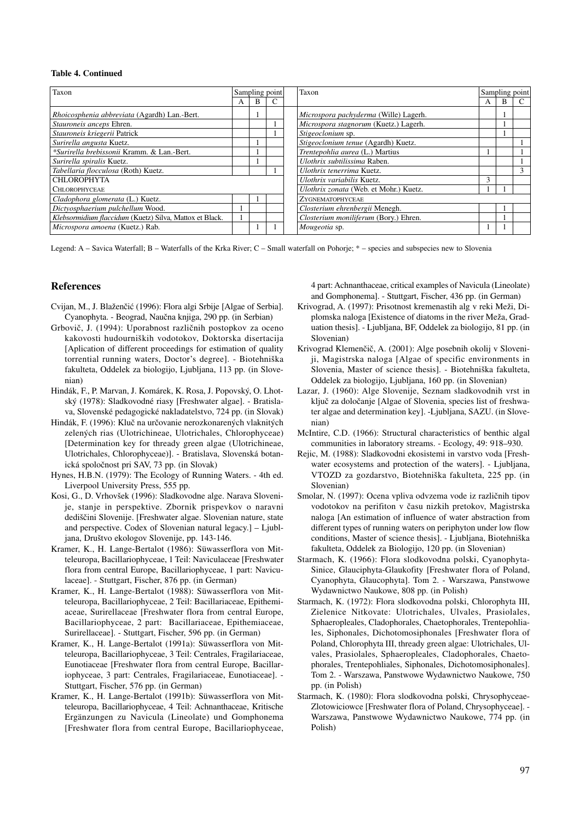#### **Table 4. Continued**

| Taxon                                                   | Sampling point |   | Taxon                                  |                                       |   | Sampling point |  |
|---------------------------------------------------------|----------------|---|----------------------------------------|---------------------------------------|---|----------------|--|
|                                                         | A              | B |                                        |                                       | A | B              |  |
| Rhoicosphenia abbreviata (Agardh) Lan.-Bert.            |                |   |                                        | Microspora pachyderma (Wille) Lagerh. |   |                |  |
| Stauroneis anceps Ehren.                                |                |   |                                        | Microspora stagnorum (Kuetz.) Lagerh. |   |                |  |
| Stauroneis kriegerii Patrick                            |                |   |                                        | Stigeoclonium sp.                     |   |                |  |
| Surirella angusta Kuetz.                                |                |   |                                        | Stigeoclonium tenue (Agardh) Kuetz.   |   |                |  |
| *Surirella brebissonii Kramm. & Lan.-Bert.              |                |   |                                        | Trentepohlia aurea (L.) Martius       |   |                |  |
| Surirella spiralis Kuetz.                               |                |   |                                        | Ulothrix subtilissima Raben.          |   |                |  |
| Tabellaria flocculosa (Roth) Kuetz.                     |                |   |                                        | Ulothrix tenerrima Kuetz.             |   |                |  |
| CHLOROPHYTA                                             |                |   | Ulothrix variabilis Kuetz.             | 3                                     |   |                |  |
| <b>CHLOROPHYCEAE</b>                                    |                |   | Ulothrix zonata (Web. et Mohr.) Kuetz. |                                       |   |                |  |
| Cladophora glomerata (L.) Kuetz.                        |                |   |                                        | <b>ZYGNEMATOPHYCEAE</b>               |   |                |  |
| Dictyosphaerium pulchellum Wood.                        |                |   |                                        | Closterium ehrenbergii Menegh.        |   |                |  |
| Klebsormidium flaccidum (Kuetz) Silva, Mattox et Black. |                |   |                                        | Closterium moniliferum (Bory.) Ehren. |   |                |  |
| Microspora amoena (Kuetz.) Rab.                         |                |   |                                        | Mougeotia sp.                         |   |                |  |

Legend: A – Savica Waterfall; B – Waterfalls of the Krka River; C – Small waterfall on Pohorje; \* – species and subspecies new to Slovenia

#### **References**

- Cvijan, M., J. Blaženčić (1996): Flora algi Srbije [Algae of Serbia]. Cyanophyta. - Beograd, Naučna knjiga, 290 pp. (in Serbian)
- Grbovič, J. (1994): Uporabnost različnih postopkov za oceno kakovosti hudourniških vodotokov, Doktorska disertacija [Aplication of different proceedings for estimation of quality torrential running waters, Doctor's degree]. - Biotehniška fakulteta, Oddelek za biologijo, Ljubljana, 113 pp. (in Slovenian)
- Hindák, F., P. Marvan, J. Komárek, K. Rosa, J. Popovský, O. Lhotský (1978): Sladkovodné riasy [Freshwater algae]. - Bratislava, Slovenské pedagogické nakladatelstvo, 724 pp. (in Slovak)
- Hindák, F. (1996): Kluč na určovanie nerozkonarených vlaknitých zelených rias (Ulotrichineae, Ulotrichales, Chlorophyceae) [Determination key for thready green algae (Ulotrichineae, Ulotrichales, Chlorophyceae)]. - Bratislava, Slovenská botanická spoločnost pri SAV, 73 pp. (in Slovak)
- Hynes, H.B.N. (1979): The Ecology of Running Waters. 4th ed. Liverpool University Press, 555 pp.
- Kosi, G., D. Vrhovšek (1996): Sladkovodne alge. Narava Slovenije, stanje in perspektive. Zbornik prispevkov o naravni dediščini Slovenije. [Freshwater algae. Slovenian nature, state and perspective. Codex of Slovenian natural legacy.] – Ljubljana, Društvo ekologov Slovenije, pp. 143-146.
- Kramer, K., H. Lange-Bertalot (1986): Süwasserflora von Mitteleuropa, Bacillariophyceae, 1 Teil: Naviculaceae [Freshwater flora from central Europe, Bacillariophyceae, 1 part: Naviculaceae]. - Stuttgart, Fischer, 876 pp. (in German)
- Kramer, K., H. Lange-Bertalot (1988): Süwasserflora von Mitteleuropa, Bacillariophyceae, 2 Teil: Bacillariaceae, Epithemiaceae, Surirellaceae [Freshwater flora from central Europe, Bacillariophyceae, 2 part: Bacillariaceae, Epithemiaceae, Surirellaceae]. - Stuttgart, Fischer, 596 pp. (in German)
- Kramer, K., H. Lange-Bertalot (1991a): Süwasserflora von Mitteleuropa, Bacillariophyceae, 3 Teil: Centrales, Fragilariaceae, Eunotiaceae [Freshwater flora from central Europe, Bacillariophyceae, 3 part: Centrales, Fragilariaceae, Eunotiaceae]. - Stuttgart, Fischer, 576 pp. (in German)
- Kramer, K., H. Lange-Bertalot (1991b): Süwasserflora von Mitteleuropa, Bacillariophyceae, 4 Teil: Achnanthaceae, Kritische Ergänzungen zu Navicula (Lineolate) und Gomphonema [Freshwater flora from central Europe, Bacillariophyceae,

4 part: Achnanthaceae, critical examples of Navicula (Lineolate) and Gomphonema]. - Stuttgart, Fischer, 436 pp. (in German)

- Krivograd, A. (1997): Prisotnost kremenastih alg v reki Meži, Diplomska naloga [Existence of diatoms in the river Meža, Graduation thesis]. - Ljubljana, BF, Oddelek za biologijo, 81 pp. (in Slovenian)
- Krivograd Klemenčič, A. (2001): Alge posebnih okolij v Sloveniji, Magistrska naloga [Algae of specific environments in Slovenia, Master of science thesis]. - Biotehniška fakulteta, Oddelek za biologijo, Ljubljana, 160 pp. (in Slovenian)
- Lazar, J. (1960): Alge Slovenije, Seznam sladkovodnih vrst in ključ za določanje [Algae of Slovenia, species list of freshwater algae and determination key]. -Ljubljana, SAZU. (in Slovenian)
- McIntire, C.D. (1966): Structural characteristics of benthic algal communities in laboratory streams. - Ecology, 49: 918–930.
- Rejic, M. (1988): Sladkovodni ekosistemi in varstvo voda [Freshwater ecosystems and protection of the waters]. - Ljubljana, VTOZD za gozdarstvo, Biotehniška fakulteta, 225 pp. (in Slovenian)
- Smolar, N. (1997): Ocena vpliva odvzema vode iz različnih tipov vodotokov na perifiton v času nizkih pretokov, Magistrska naloga [An estimation of influence of water abstraction from different types of running waters on periphyton under low flow conditions, Master of science thesis]. - Ljubljana, Biotehniška fakulteta, Oddelek za Biologijo, 120 pp. (in Slovenian)
- Starmach, K. (1966): Flora slodkovodna polski, Cyanophyta-Sinice, Glauciphyta-Glaukofity [Freshwater flora of Poland, Cyanophyta, Glaucophyta]. Tom 2. - Warszawa, Panstwowe Wydawnictwo Naukowe, 808 pp. (in Polish)
- Starmach, K. (1972): Flora slodkovodna polski, Chlorophyta III, Zielenice Nitkovate: Ulotrichales, Ulvales, Prasiolales, Sphaeropleales, Cladophorales, Chaetophorales, Trentepohliales, Siphonales, Dichotomosiphonales [Freshwater flora of Poland, Chlorophyta III, thready green algae: Ulotrichales, Ulvales, Prasiolales, Sphaeropleales, Cladophorales, Chaetophorales, Trentepohliales, Siphonales, Dichotomosiphonales]. Tom 2. - Warszawa, Panstwowe Wydawnictwo Naukowe, 750 pp. (in Polish)
- Starmach, K. (1980): Flora slodkovodna polski, Chrysophyceae-Zlotowiciowce [Freshwater flora of Poland, Chrysophyceae]. - Warszawa, Panstwowe Wydawnictwo Naukowe, 774 pp. (in Polish)